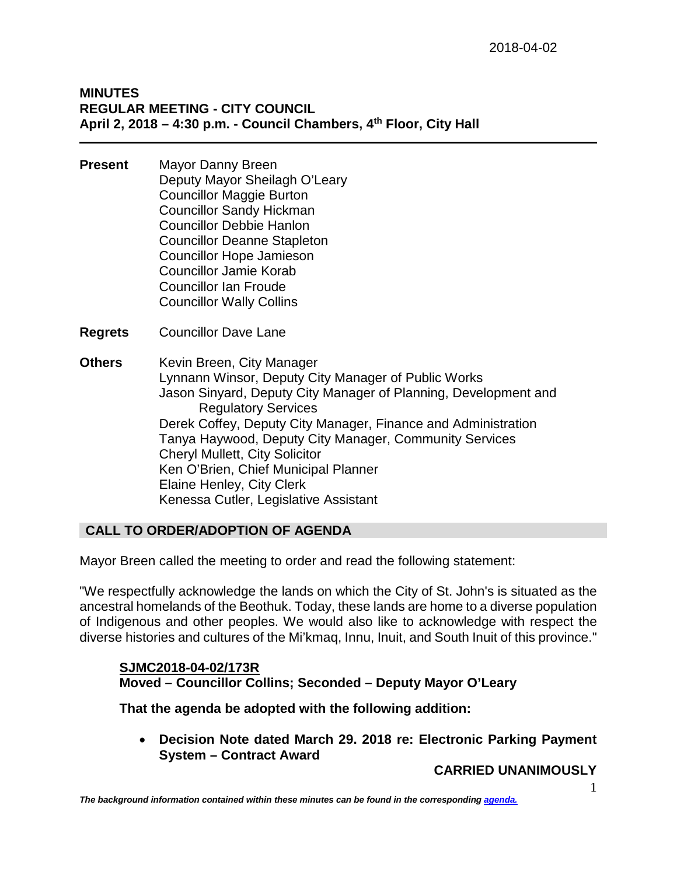# **MINUTES REGULAR MEETING - CITY COUNCIL April 2, 2018 – 4:30 p.m. - Council Chambers, 4th Floor, City Hall**

- **Present** Mayor Danny Breen Deputy Mayor Sheilagh O'Leary Councillor Maggie Burton Councillor Sandy Hickman Councillor Debbie Hanlon Councillor Deanne Stapleton Councillor Hope Jamieson Councillor Jamie Korab Councillor Ian Froude Councillor Wally Collins
- **Regrets** Councillor Dave Lane

**Others** Kevin Breen, City Manager Lynnann Winsor, Deputy City Manager of Public Works Jason Sinyard, Deputy City Manager of Planning, Development and Regulatory Services Derek Coffey, Deputy City Manager, Finance and Administration Tanya Haywood, Deputy City Manager, Community Services Cheryl Mullett, City Solicitor Ken O'Brien, Chief Municipal Planner Elaine Henley, City Clerk Kenessa Cutler, Legislative Assistant

# **CALL TO ORDER/ADOPTION OF AGENDA**

Mayor Breen called the meeting to order and read the following statement:

"We respectfully acknowledge the lands on which the City of St. John's is situated as the ancestral homelands of the Beothuk. Today, these lands are home to a diverse population of Indigenous and other peoples. We would also like to acknowledge with respect the diverse histories and cultures of the Mi'kmaq, Innu, Inuit, and South Inuit of this province."

# **SJMC2018-04-02/173R Moved – Councillor Collins; Seconded – Deputy Mayor O'Leary**

**That the agenda be adopted with the following addition:**

• **Decision Note dated March 29. 2018 re: Electronic Parking Payment System – Contract Award**

**CARRIED UNANIMOUSLY**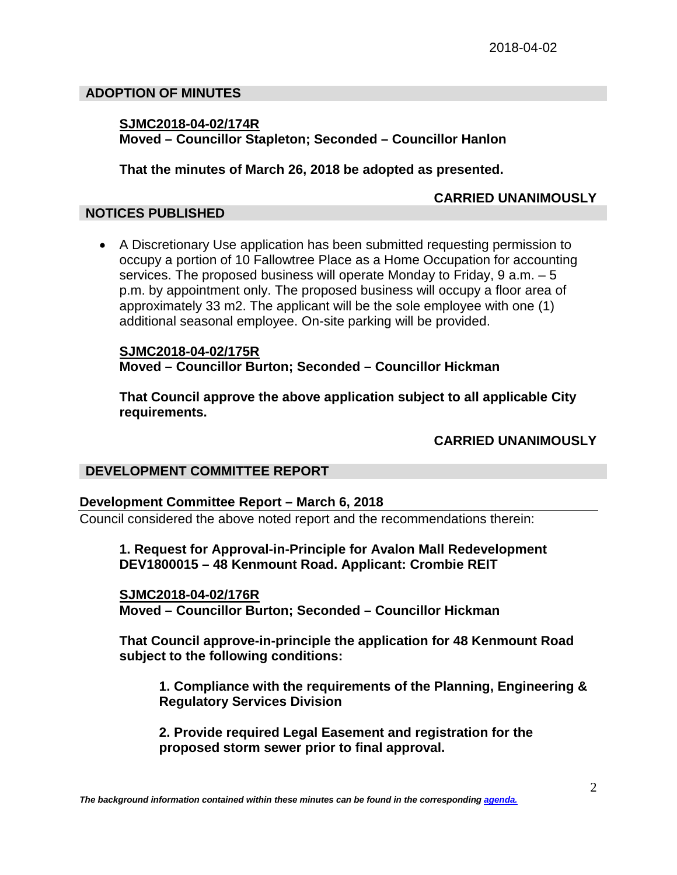### **ADOPTION OF MINUTES**

### **SJMC2018-04-02/174R Moved – Councillor Stapleton; Seconded – Councillor Hanlon**

**That the minutes of March 26, 2018 be adopted as presented.**

### **CARRIED UNANIMOUSLY**

### **NOTICES PUBLISHED**

• A Discretionary Use application has been submitted requesting permission to occupy a portion of 10 Fallowtree Place as a Home Occupation for accounting services. The proposed business will operate Monday to Friday, 9 a.m. – 5 p.m. by appointment only. The proposed business will occupy a floor area of approximately 33 m2. The applicant will be the sole employee with one (1) additional seasonal employee. On-site parking will be provided.

**SJMC2018-04-02/175R Moved – Councillor Burton; Seconded – Councillor Hickman**

**That Council approve the above application subject to all applicable City requirements.**

**CARRIED UNANIMOUSLY**

### **DEVELOPMENT COMMITTEE REPORT**

### **Development Committee Report – March 6, 2018**

Council considered the above noted report and the recommendations therein:

# **1. Request for Approval-in-Principle for Avalon Mall Redevelopment DEV1800015 – 48 Kenmount Road. Applicant: Crombie REIT**

**SJMC2018-04-02/176R Moved – Councillor Burton; Seconded – Councillor Hickman**

**That Council approve-in-principle the application for 48 Kenmount Road subject to the following conditions:**

**1. Compliance with the requirements of the Planning, Engineering & Regulatory Services Division**

**2. Provide required Legal Easement and registration for the proposed storm sewer prior to final approval.**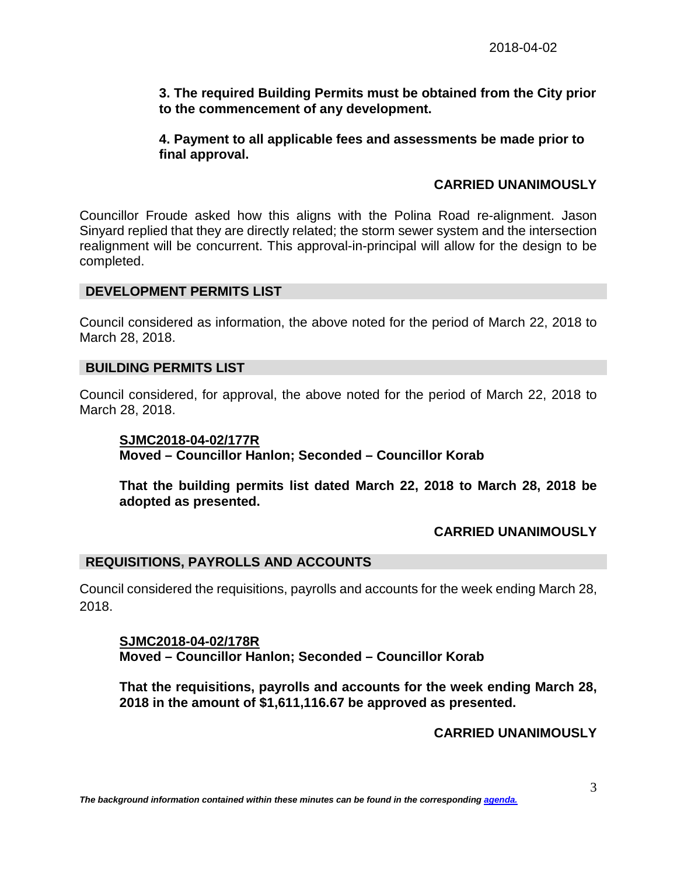# **3. The required Building Permits must be obtained from the City prior to the commencement of any development.**

# **4. Payment to all applicable fees and assessments be made prior to final approval.**

# **CARRIED UNANIMOUSLY**

Councillor Froude asked how this aligns with the Polina Road re-alignment. Jason Sinyard replied that they are directly related; the storm sewer system and the intersection realignment will be concurrent. This approval-in-principal will allow for the design to be completed.

### **DEVELOPMENT PERMITS LIST**

Council considered as information, the above noted for the period of March 22, 2018 to March 28, 2018.

### **BUILDING PERMITS LIST**

Council considered, for approval, the above noted for the period of March 22, 2018 to March 28, 2018.

**SJMC2018-04-02/177R Moved – Councillor Hanlon; Seconded – Councillor Korab**

**That the building permits list dated March 22, 2018 to March 28, 2018 be adopted as presented.**

# **CARRIED UNANIMOUSLY**

# **REQUISITIONS, PAYROLLS AND ACCOUNTS**

Council considered the requisitions, payrolls and accounts for the week ending March 28, 2018.

**SJMC2018-04-02/178R Moved – Councillor Hanlon; Seconded – Councillor Korab**

**That the requisitions, payrolls and accounts for the week ending March 28, 2018 in the amount of \$1,611,116.67 be approved as presented.**

### **CARRIED UNANIMOUSLY**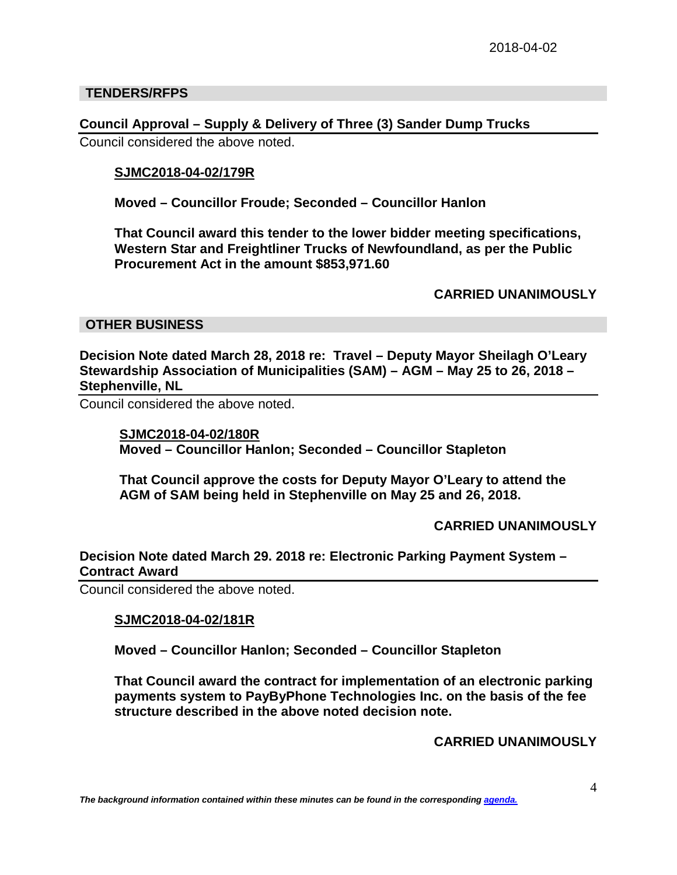### **TENDERS/RFPS**

**Council Approval – Supply & Delivery of Three (3) Sander Dump Trucks** Council considered the above noted.

### **SJMC2018-04-02/179R**

**Moved – Councillor Froude; Seconded – Councillor Hanlon**

**That Council award this tender to the lower bidder meeting specifications, Western Star and Freightliner Trucks of Newfoundland, as per the Public Procurement Act in the amount \$853,971.60**

### **CARRIED UNANIMOUSLY**

### **OTHER BUSINESS**

**Decision Note dated March 28, 2018 re: Travel – Deputy Mayor Sheilagh O'Leary Stewardship Association of Municipalities (SAM) – AGM – May 25 to 26, 2018 – Stephenville, NL**

Council considered the above noted.

#### **SJMC2018-04-02/180R**

**Moved – Councillor Hanlon; Seconded – Councillor Stapleton**

**That Council approve the costs for Deputy Mayor O'Leary to attend the AGM of SAM being held in Stephenville on May 25 and 26, 2018.**

### **CARRIED UNANIMOUSLY**

# **Decision Note dated March 29. 2018 re: Electronic Parking Payment System – Contract Award**

Council considered the above noted.

### **SJMC2018-04-02/181R**

**Moved – Councillor Hanlon; Seconded – Councillor Stapleton** 

**That Council award the contract for implementation of an electronic parking payments system to PayByPhone Technologies Inc. on the basis of the fee structure described in the above noted decision note.** 

**CARRIED UNANIMOUSLY**